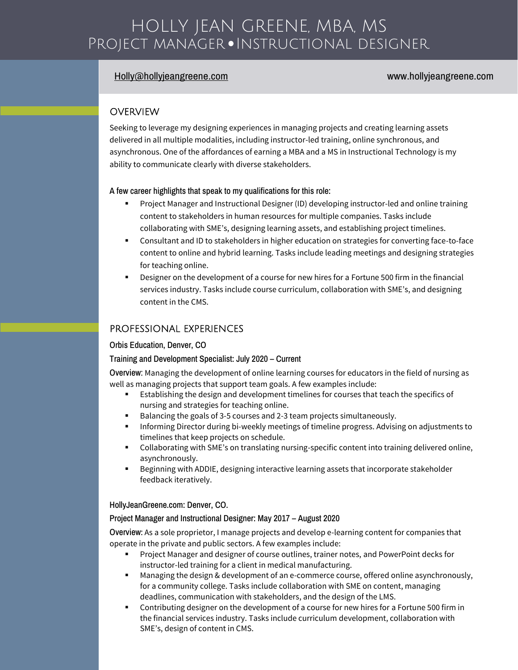# HOLLY JEAN GREENE, MBA, MS Project manager • Instructional designer  $\overline{a}$

# [Holly@hollyjeangreene.com](mailto:Holly@hollyjeangreene.com) www.hollyjeangreene.com

# **OVERVIEW**

Seeking to leverage my designing experiences in managing projects and creating learning assets delivered in all multiple modalities, including instructor-led training, online synchronous, and asynchronous. One of the affordances of earning a MBA and a MS in Instructional Technology is my ability to communicate clearly with diverse stakeholders.

A few career highlights that speak to my qualifications for this role:

- Project Manager and Instructional Designer (ID) developing instructor-led and online training content to stakeholders in human resources for multiple companies. Tasks include collaborating with SME's, designing learning assets, and establishing project timelines.
- Consultant and ID to stakeholders in higher education on strategies for converting face-to-face content to online and hybrid learning. Tasks include leading meetings and designing strategies for teaching online.
- Designer on the development of a course for new hires for a Fortune 500 firm in the financial services industry. Tasks include course curriculum, collaboration with SME's, and designing content in the CMS.

# PROFESSIONAL EXPERIENCES

#### Orbis Education, Denver, CO

#### Training and Development Specialist: July 2020 – Current

Overview: Managing the development of online learning courses for educators in the field of nursing as well as managing projects that support team goals. A few examples include:

- Establishing the design and development timelines for courses that teach the specifics of nursing and strategies for teaching online.
- Balancing the goals of 3-5 courses and 2-3 team projects simultaneously.
- Informing Director during bi-weekly meetings of timeline progress. Advising on adjustments to timelines that keep projects on schedule.
- Collaborating with SME's on translating nursing-specific content into training delivered online, asynchronously.
- Beginning with ADDIE, designing interactive learning assets that incorporate stakeholder feedback iteratively.

#### HollyJeanGreene.com: Denver, CO.

#### Project Manager and Instructional Designer: May 2017 – August 2020

Overview: As a sole proprietor, I manage projects and develop e-learning content for companies that operate in the private and public sectors. A few examples include:

- Project Manager and designer of course outlines, trainer notes, and PowerPoint decks for instructor-led training for a client in medical manufacturing.
- Managing the design & development of an e-commerce course, offered online asynchronously, for a community college. Tasks include collaboration with SME on content, managing deadlines, communication with stakeholders, and the design of the LMS.
- Contributing designer on the development of a course for new hires for a Fortune 500 firm in the financial services industry. Tasks include curriculum development, collaboration with SME's, design of content in CMS.